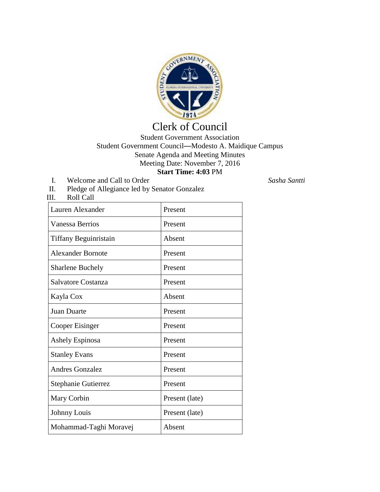

## Clerk of Council

## Student Government Association Student Government Council—Modesto A. Maidique Campus Senate Agenda and Meeting Minutes Meeting Date: November 7, 2016 **Start Time: 4:03** PM

I. Welcome and Call to Order *Sasha Santti*

III. Roll Call

II. Pledge of Allegiance led by Senator Gonzalez

| Lauren Alexander         | Present        |
|--------------------------|----------------|
| <b>Vanessa Berrios</b>   | Present        |
| Tiffany Beguinristain    | Absent         |
| <b>Alexander Bornote</b> | Present        |
| <b>Sharlene Buchely</b>  | Present        |
| Salvatore Costanza       | Present        |
| Kayla Cox                | Absent         |
| <b>Juan Duarte</b>       | Present        |
| Cooper Eisinger          | Present        |
| <b>Ashely Espinosa</b>   | Present        |
| <b>Stanley Evans</b>     | Present        |
| <b>Andres Gonzalez</b>   | Present        |
| Stephanie Gutierrez      | Present        |
| Mary Corbin              | Present (late) |
| Johnny Louis             | Present (late) |
| Mohammad-Taghi Moravej   | Absent         |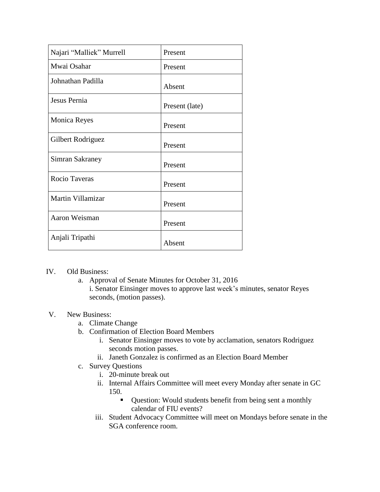| Najari "Malliek" Murrell | Present        |
|--------------------------|----------------|
| Mwai Osahar              | Present        |
| Johnathan Padilla        | Absent         |
| Jesus Pernia             | Present (late) |
| <b>Monica Reyes</b>      | Present        |
| Gilbert Rodriguez        | Present        |
| Simran Sakraney          | Present        |
| Rocio Taveras            | Present        |
| Martin Villamizar        | Present        |
| Aaron Weisman            | Present        |
| Anjali Tripathi          | Absent         |

## IV. Old Business:

a. Approval of Senate Minutes for October 31, 2016 i. Senator Einsinger moves to approve last week's minutes, senator Reyes seconds, (motion passes).

## V. New Business:

- a. Climate Change
- b. Confirmation of Election Board Members
	- i. Senator Einsinger moves to vote by acclamation, senators Rodriguez seconds motion passes.
	- ii. Janeth Gonzalez is confirmed as an Election Board Member
- c. Survey Questions
	- i. 20-minute break out
	- ii. Internal Affairs Committee will meet every Monday after senate in GC 150.
		- Question: Would students benefit from being sent a monthly calendar of FIU events?
	- iii. Student Advocacy Committee will meet on Mondays before senate in the SGA conference room.